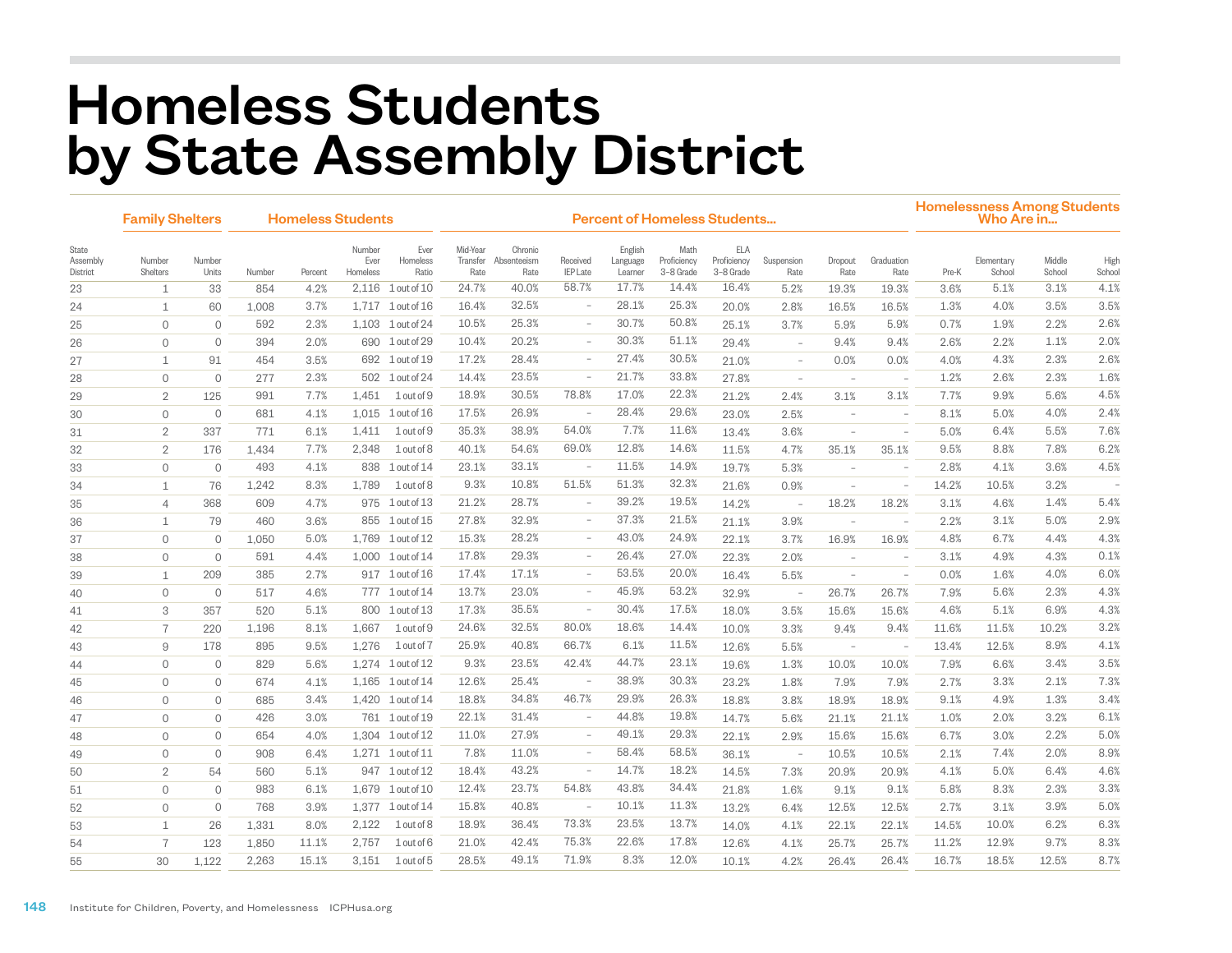## Homeless Students by State Assembly District

|                               | <b>Family Shelters</b> |                     |        | <b>Homeless Students</b> |                            |                           | <b>Percent of Homeless Students</b> |                                |                             |                                |                                  |                                 |                          |                                 |                          |       | <b>Homelessness Among Students</b><br>Who Are in |                  |                |  |  |
|-------------------------------|------------------------|---------------------|--------|--------------------------|----------------------------|---------------------------|-------------------------------------|--------------------------------|-----------------------------|--------------------------------|----------------------------------|---------------------------------|--------------------------|---------------------------------|--------------------------|-------|--------------------------------------------------|------------------|----------------|--|--|
| State<br>Assembly<br>District | Number<br>Shelters     | Number<br>Units     | Number | Percent                  | Number<br>Ever<br>Homeless | Ever<br>Homeless<br>Ratio | Mid-Year<br>Transfer<br>Rate        | Chronic<br>Absenteeism<br>Rate | Received<br><b>IEP</b> Late | English<br>Language<br>Learner | Math<br>Proficiency<br>3-8 Grade | ELA<br>Proficiency<br>3-8 Grade | Suspension<br>Rate       | Dropout<br>Rate                 | Graduation<br>Rate       | Pre-K | Elementary<br>School                             | Middle<br>School | High<br>School |  |  |
| 23                            | 1                      | 33                  | 854    | 4.2%                     | 2,116                      | $1$ out of $10$           | 24.7%                               | 40.0%                          | 58.7%                       | 17.7%                          | 14.4%                            | 16.4%                           | 5.2%                     | 19.3%                           | 19.3%                    | 3.6%  | 5.1%                                             | 3.1%             | 4.1%           |  |  |
| 24                            | 1                      | 60                  | 1,008  | 3.7%                     |                            | 1,717 1 out of 16         | 16.4%                               | 32.5%                          | $\overline{\phantom{a}}$    | 28.1%                          | 25.3%                            | 20.0%                           | 2.8%                     | 16.5%                           | 16.5%                    | 1.3%  | 4.0%                                             | 3.5%             | 3.5%           |  |  |
| 25                            | $\mathbf{0}$           | $\mathbf{0}$        | 592    | 2.3%                     |                            | 1,103 1 out of 24         | 10.5%                               | 25.3%                          | $\overline{\phantom{a}}$    | 30.7%                          | 50.8%                            | 25.1%                           | 3.7%                     | 5.9%                            | 5.9%                     | 0.7%  | 1.9%                                             | 2.2%             | 2.6%           |  |  |
| 26                            | $\mathbf 0$            | $\circ$             | 394    | 2.0%                     | 690                        | 1 out of 29               | 10.4%                               | 20.2%                          | $\overline{\phantom{a}}$    | 30.3%                          | 51.1%                            | 29.4%                           | $\overline{\phantom{a}}$ | 9.4%                            | 9.4%                     | 2.6%  | 2.2%                                             | 1.1%             | 2.0%           |  |  |
| 27                            | $\mathbf{1}$           | 91                  | 454    | 3.5%                     | 692                        | $1$ out of $19$           | 17.2%                               | 28.4%                          | $\overline{\phantom{a}}$    | 27.4%                          | 30.5%                            | 21.0%                           | $\overline{\phantom{a}}$ | 0.0%                            | 0.0%                     | 4.0%  | 4.3%                                             | 2.3%             | 2.6%           |  |  |
| 28                            | $\mathbf{0}$           | $\mathbf{0}$        | 277    | 2.3%                     | 502                        | 1 out of 24               | 14.4%                               | 23.5%                          | $\overline{\phantom{a}}$    | 21.7%                          | 33.8%                            | 27.8%                           | $\sim$                   | $\hspace{0.1mm}-\hspace{0.1mm}$ | $\overline{\phantom{a}}$ | 1.2%  | 2.6%                                             | 2.3%             | 1.6%           |  |  |
| 29                            | $\overline{2}$         | 125                 | 991    | 7.7%                     | 1.451                      | $1$ out of $9$            | 18.9%                               | 30.5%                          | 78.8%                       | 17.0%                          | 22.3%                            | 21.2%                           | 2.4%                     | 3.1%                            | 3.1%                     | 7.7%  | 9.9%                                             | 5.6%             | 4.5%           |  |  |
| 30                            | $\mathbf{0}$           | $\mathbf{0}$        | 681    | 4.1%                     | 1.015                      | $1$ out of $16$           | 17.5%                               | 26.9%                          | $\overline{\phantom{a}}$    | 28.4%                          | 29.6%                            | 23.0%                           | 2.5%                     | $\overline{\phantom{a}}$        |                          | 8.1%  | 5.0%                                             | 4.0%             | 2.4%           |  |  |
| 31                            | $\overline{2}$         | 337                 | 771    | 6.1%                     | 1,411                      | 1 out of 9                | 35.3%                               | 38.9%                          | 54.0%                       | 7.7%                           | 11.6%                            | 13.4%                           | 3.6%                     | $\overline{\phantom{a}}$        | $\overline{\phantom{a}}$ | 5.0%  | 6.4%                                             | 5.5%             | 7.6%           |  |  |
| 32                            | $\overline{2}$         | 176                 | 1,434  | 7.7%                     | 2,348                      | 1 out of 8                | 40.1%                               | 54.6%                          | 69.0%                       | 12.8%                          | 14.6%                            | 11.5%                           | 4.7%                     | 35.1%                           | 35.1%                    | 9.5%  | 8.8%                                             | 7.8%             | 6.2%           |  |  |
| 33                            | $\mathbf{0}$           | $\circ$             | 493    | 4.1%                     | 838                        | $1$ out of $14$           | 23.1%                               | 33.1%                          | ÷,                          | 11.5%                          | 14.9%                            | 19.7%                           | 5.3%                     | $\sim$                          |                          | 2.8%  | 4.1%                                             | 3.6%             | 4.5%           |  |  |
| 34                            | $\mathbf{1}$           | 76                  | 1,242  | 8.3%                     | 1,789                      | 1 out of 8                | 9.3%                                | 10.8%                          | 51.5%                       | 51.3%                          | 32.3%                            | 21.6%                           | 0.9%                     | $\sim$                          | $\sim$                   | 14.2% | 10.5%                                            | 3.2%             | $\sim$         |  |  |
| 35                            | $\overline{4}$         | 368                 | 609    | 4.7%                     |                            | 975 1 out of 13           | 21.2%                               | 28.7%                          | $\sim$                      | 39.2%                          | 19.5%                            | 14.2%                           | $\overline{\phantom{0}}$ | 18.2%                           | 18.2%                    | 3.1%  | 4.6%                                             | 1.4%             | 5.4%           |  |  |
| 36                            | $\mathbf{1}$           | 79                  | 460    | 3.6%                     | 855                        | $1$ out of $15$           | 27.8%                               | 32.9%                          | $\overline{\phantom{a}}$    | 37.3%                          | 21.5%                            | 21.1%                           | 3.9%                     | $\overline{\phantom{a}}$        |                          | 2.2%  | 3.1%                                             | 5.0%             | 2.9%           |  |  |
| 37                            | $\mathsf{O}\xspace$    | $\mathbf{0}$        | 1,050  | 5.0%                     | 1,769                      | $1$ out of $12$           | 15.3%                               | 28.2%                          | $\sim$                      | 43.0%                          | 24.9%                            | 22.1%                           | 3.7%                     | 16.9%                           | 16.9%                    | 4.8%  | 6.7%                                             | 4.4%             | 4.3%           |  |  |
| 38                            | $\circ$                | $\circ$             | 591    | 4.4%                     |                            | 1,000 1 out of 14         | 17.8%                               | 29.3%                          | $\overline{\phantom{a}}$    | 26.4%                          | 27.0%                            | 22.3%                           | 2.0%                     |                                 |                          | 3.1%  | 4.9%                                             | 4.3%             | 0.1%           |  |  |
| 39                            | $\mathbf{1}$           | 209                 | 385    | 2.7%                     |                            | 917 1 out of 16           | 17.4%                               | 17.1%                          | $\overline{\phantom{a}}$    | 53.5%                          | 20.0%                            | 16.4%                           | 5.5%                     |                                 |                          | 0.0%  | 1.6%                                             | 4.0%             | 6.0%           |  |  |
| 40                            | $\circ$                | $\mathbf{0}$        | 517    | 4.6%                     |                            | 777 1 out of 14           | 13.7%                               | 23.0%                          | $\overline{\phantom{a}}$    | 45.9%                          | 53.2%                            | 32.9%                           |                          | 26.7%                           | 26.7%                    | 7.9%  | 5.6%                                             | 2.3%             | 4.3%           |  |  |
| 41                            | 3                      | 357                 | 520    | 5.1%                     | 800                        | $1$ out of $13$           | 17.3%                               | 35.5%                          | $\sim$                      | 30.4%                          | 17.5%                            | 18.0%                           | 3.5%                     | 15.6%                           | 15.6%                    | 4.6%  | 5.1%                                             | 6.9%             | 4.3%           |  |  |
| 42                            | $\overline{7}$         | 220                 | 1,196  | 8.1%                     | 1,667                      | 1 out of 9                | 24.6%                               | 32.5%                          | 80.0%                       | 18.6%                          | 14.4%                            | 10.0%                           | 3.3%                     | 9.4%                            | 9.4%                     | 11.6% | 11.5%                                            | 10.2%            | 3.2%           |  |  |
| 43                            | 9                      | 178                 | 895    | 9.5%                     | 1,276                      | 1 out of 7                | 25.9%                               | 40.8%                          | 66.7%                       | 6.1%                           | 11.5%                            | 12.6%                           | 5.5%                     | $\sim$                          | $\overline{\phantom{a}}$ | 13.4% | 12.5%                                            | 8.9%             | 4.1%           |  |  |
| 44                            | $\circ$                | $\circ$             | 829    | 5.6%                     |                            | 1.274 1 out of 12         | 9.3%                                | 23.5%                          | 42.4%                       | 44.7%                          | 23.1%                            | 19.6%                           | 1.3%                     | 10.0%                           | 10.0%                    | 7.9%  | 6.6%                                             | 3.4%             | 3.5%           |  |  |
| 45                            | $\mathbf{0}$           | $\circ$             | 674    | 4.1%                     |                            | 1,165 1 out of 14         | 12.6%                               | 25.4%                          | $\sim$                      | 38.9%                          | 30.3%                            | 23.2%                           | 1.8%                     | 7.9%                            | 7.9%                     | 2.7%  | 3.3%                                             | 2.1%             | 7.3%           |  |  |
| 46                            | $\mathbf{0}$           | $\mathbf 0$         | 685    | 3.4%                     |                            | 1,420 1 out of 14         | 18.8%                               | 34.8%                          | 46.7%                       | 29.9%                          | 26.3%                            | 18.8%                           | 3.8%                     | 18.9%                           | 18.9%                    | 9.1%  | 4.9%                                             | 1.3%             | 3.4%           |  |  |
| 47                            | $\mathbf{0}$           | $\mathbf 0$         | 426    | 3.0%                     |                            | 761 1 out of 19           | 22.1%                               | 31.4%                          | $\overline{\phantom{a}}$    | 44.8%                          | 19.8%                            | 14.7%                           | 5.6%                     | 21.1%                           | 21.1%                    | 1.0%  | 2.0%                                             | 3.2%             | 6.1%           |  |  |
| 48                            | $\mathbf{0}$           | $\mathsf{O}\xspace$ | 654    | 4.0%                     |                            | 1,304 1 out of 12         | 11.0%                               | 27.9%                          | $\overline{\phantom{a}}$    | 49.1%                          | 29.3%                            | 22.1%                           | 2.9%                     | 15.6%                           | 15.6%                    | 6.7%  | 3.0%                                             | 2.2%             | 5.0%           |  |  |
| 49                            | $\mathbf{0}$           | $\mathsf{O}\xspace$ | 908    | 6.4%                     |                            | 1,271 1 out of 11         | 7.8%                                | 11.0%                          | $\overline{\phantom{a}}$    | 58.4%                          | 58.5%                            | 36.1%                           | $\overline{\phantom{a}}$ | 10.5%                           | 10.5%                    | 2.1%  | 7.4%                                             | 2.0%             | 8.9%           |  |  |
| 50                            | $\overline{2}$         | 54                  | 560    | 5.1%                     |                            | 947 1 out of 12           | 18.4%                               | 43.2%                          | $\overline{\phantom{a}}$    | 14.7%                          | 18.2%                            | 14.5%                           | 7.3%                     | 20.9%                           | 20.9%                    | 4.1%  | 5.0%                                             | 6.4%             | 4.6%           |  |  |
| 51                            | $\Omega$               | $\circ$             | 983    | 6.1%                     |                            | 1,679 1 out of 10         | 12.4%                               | 23.7%                          | 54.8%                       | 43.8%                          | 34.4%                            | 21.8%                           | 1.6%                     | 9.1%                            | 9.1%                     | 5.8%  | 8.3%                                             | 2.3%             | 3.3%           |  |  |
| 52                            | $\mathbf{0}$           | $\circ$             | 768    | 3.9%                     |                            | 1,377 1 out of 14         | 15.8%                               | 40.8%                          | $\overline{\phantom{a}}$    | 10.1%                          | 11.3%                            | 13.2%                           | 6.4%                     | 12.5%                           | 12.5%                    | 2.7%  | 3.1%                                             | 3.9%             | 5.0%           |  |  |
| 53                            | $\mathbf{1}$           | 26                  | 1,331  | 8.0%                     | 2,122                      | 1 out of 8                | 18.9%                               | 36.4%                          | 73.3%                       | 23.5%                          | 13.7%                            | 14.0%                           | 4.1%                     | 22.1%                           | 22.1%                    | 14.5% | 10.0%                                            | 6.2%             | 6.3%           |  |  |
| 54                            | $\overline{7}$         | 123                 | 1,850  | 11.1%                    | 2,757                      | $1$ out of $6$            | 21.0%                               | 42.4%                          | 75.3%                       | 22.6%                          | 17.8%                            | 12.6%                           | 4.1%                     | 25.7%                           | 25.7%                    | 11.2% | 12.9%                                            | 9.7%             | 8.3%           |  |  |
| 55                            | 30                     | 1,122               | 2,263  | 15.1%                    | 3,151                      | 1 out of 5                | 28.5%                               | 49.1%                          | 71.9%                       | 8.3%                           | 12.0%                            | 10.1%                           | 4.2%                     | 26.4%                           | 26.4%                    | 16.7% | 18.5%                                            | 12.5%            | 8.7%           |  |  |